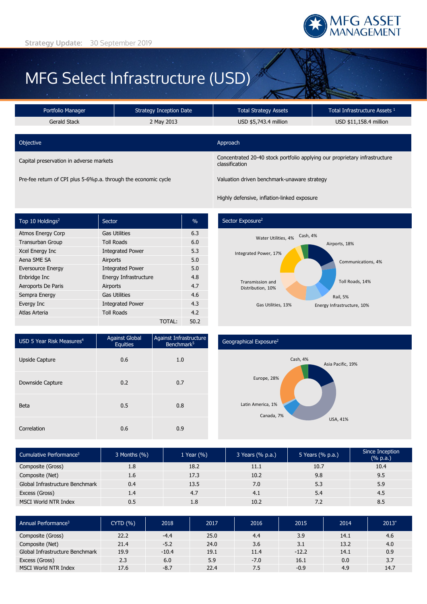

# MFG Select Infrastructure (USD)

| Portfolio Manager                       | <b>Strategy Inception Date</b> | <b>Total Strategy Assets</b>                                                                 | Total Infrastructure Assets 1 |  |  |
|-----------------------------------------|--------------------------------|----------------------------------------------------------------------------------------------|-------------------------------|--|--|
| <b>Gerald Stack</b>                     | 2 May 2013                     | USD \$5,743.4 million                                                                        | USD \$11,158.4 million        |  |  |
|                                         |                                |                                                                                              |                               |  |  |
| Objective                               |                                | Approach                                                                                     |                               |  |  |
| Capital preservation in adverse markets |                                | Concentrated 20-40 stock portfolio applying our proprietary infrastructure<br>classification |                               |  |  |

Pre-fee return of CPI plus 5-6%p.a. through the economic cycle Valuation driven benchmark-unaware strategy

Highly defensive, inflation-linked exposure

| Top 10 Holdings <sup>2</sup> | Sector                  |        | $\frac{0}{0}$ |
|------------------------------|-------------------------|--------|---------------|
| <b>Atmos Energy Corp</b>     | <b>Gas Utilities</b>    |        | 6.3           |
| <b>Transurban Group</b>      | <b>Toll Roads</b>       |        | 6.0           |
| Xcel Energy Inc              | <b>Integrated Power</b> |        | 5.3           |
| Aena SME SA                  | Airports                |        | 5.0           |
| <b>Eversource Energy</b>     | <b>Integrated Power</b> |        | 5.0           |
| Enbridge Inc                 | Energy Infrastructure   |        | 4.8           |
| Aeroports De Paris           | Airports                |        | 4.7           |
| Sempra Energy                | <b>Gas Utilities</b>    |        | 4.6           |
| Evergy Inc                   | <b>Integrated Power</b> |        | 4.3           |
| Atlas Arteria                | <b>Toll Roads</b>       |        | 4.2           |
|                              |                         | TOTAL: | 50.2          |

# Sector Exposure<sup>2</sup>



| USD 5 Year Risk Measures <sup>4</sup> | <b>Against Global</b><br><b>Equities</b> | Against Infrastructure<br>Benchmark <sup>5</sup> |  |
|---------------------------------------|------------------------------------------|--------------------------------------------------|--|
| Upside Capture                        | 0.6                                      | 1.0                                              |  |
| Downside Capture                      | 0.2                                      | 0.7                                              |  |
| <b>Beta</b>                           | 0.5                                      | 0.8                                              |  |
| Correlation                           | 0.6                                      | 0.9                                              |  |

### Geographical Exposure2



| Cumulative Performance <sup>3</sup> | 3 Months (%) | 1 Year $(\% )$ | 3 Years (% p.a.) | 5 Years (% p.a.) | Since Inception<br>(% p.a.) |
|-------------------------------------|--------------|----------------|------------------|------------------|-----------------------------|
| Composite (Gross)                   | 1.8          | 18.2           | 11.1             | 10.7             | 10.4                        |
| Composite (Net)                     | 1.6          | 17.3           | 10.2             | 9.8              | 9.5                         |
| Global Infrastructure Benchmark     | 0.4          | 13.5           | 7.0              | 5.3              | 5.9                         |
| Excess (Gross)                      | 1.4          | 4.7            | 4.1              | 5.4              | 4.5                         |
| MSCI World NTR Index                | 0.5          | 1.8            | 10.2             | 7.2              | 8.5                         |

| Annual Performance <sup>3</sup> | CYTD(%) | 2018    | 2017 | 2016   | 2015    | 2014 | $2013^{\circ}$ |
|---------------------------------|---------|---------|------|--------|---------|------|----------------|
| Composite (Gross)               | 22.2    | $-4.4$  | 25.0 | 4.4    | 3.9     | 14.1 | 4.6            |
| Composite (Net)                 | 21.4    | $-5.2$  | 24.0 | 3.6    | 3.1     | 13.2 | 4.0            |
| Global Infrastructure Benchmark | 19.9    | $-10.4$ | 19.1 | 11.4   | $-12.2$ | 14.1 | 0.9            |
| Excess (Gross)                  | 2.3     | 6.0     | 5.9  | $-7.0$ | 16.1    | 0.0  | 3.7            |
| MSCI World NTR Index            | 17.6    | $-8.7$  | 22.4 | 7.5    | $-0.9$  | 4.9  | 14.7           |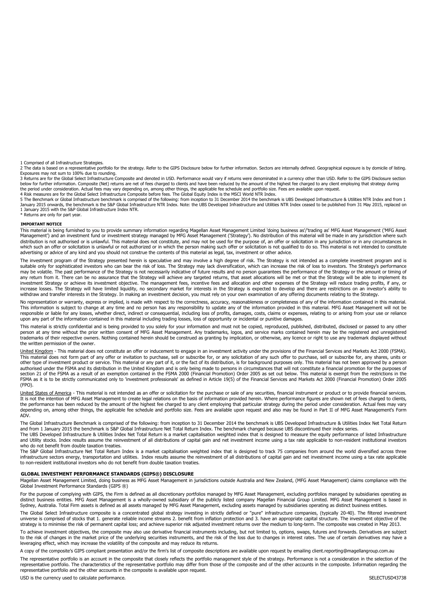1 Comprised of all Infrastructure Strategies.

2 The data is based on a representative portfolio for the strategy. Refer to the GIPS Disclosure below for further information. Sectors are internally defined. Geographical exposure is by domicile of listing.<br>Exposures may

3 Returns are for the Global Select Infrastructure Composite and denoted in USD. Performance would vary if returns were denominated in a currency other than USD. Refer to the GIPS Disclosure section below for further information. Composite (Net) returns are net of fees charged to clients and have been reduced by the amount of the highest fee charged to any client employing that strategy during the period under consideration. Actual fees may vary depending on, among other things, the applicable fee schedule and portfolio size. Fees are available upon request 4 Risk measures are for the Global Select Infrastructure Composite before fees. The Global Equity Index is the MSCI World NTR Index.

5 The Benchmark or Global Infrastructure benchmark is comprised of the following: from inception to 31 December 2014 the benchmark is UBS Developed Infrastructure & Utilities NTR Index and from 1 January 2015 onwards, the benchmark is the S&P Global Infrastructure NTR Index. Note: the UBS Developed Infrastructure and Utilities NTR Index ceased to be published from 31 May 2015, replaced on 1 January 2015 with the S&P Global Infrastructure Index NTR. \* Returns are only for part year.

#### **IMPORTANT NOTICE**

This material is being furnished to you to provide summary information regarding Magellan Asset Management Limited 'doing business as'/'trading as' MFG Asset Management ('MFG Asset Management') and an investment fund or investment strategy managed by MFG Asset Management ('Strategy'). No distribution of this material will be made in any jurisdiction where such distribution is not authorised or is unlawful. This material does not constitute, and may not be used for the purpose of, an offer or solicitation in any jurisdiction or in any circumstances in which such an offer or solicitation is unlawful or not authorized or in which the person making such offer or solicitation is not qualified to do so. This material is not intended to constitute advertising or advice of any kind and you should not construe the contents of this material as legal, tax, investment or other advice.

The investment program of the Strategy presented herein is speculative and may involve a high degree of risk. The Strategy is not intended as a complete investment program and is<br>suitable only for sophisticated investors w may be volatile. The past performance of the Strategy is not necessarily indicative of future results and no person guarantees the performance of the Strategy or the amount or timing of any return from it. There can be no assurance that the Strategy will achieve any targeted returns, that asset allocations will be met or that the Strategy will be able to implement its investment Strategy or achieve its investment objective. The management fees, incentive fees and allocation and other expenses of the Strategy will reduce trading profits, if any, or increase losses. The Strategy will have limited liquidity, no secondary market for interests in the Strategy is expected to develop and there are restrictions on an investor's ability to withdraw and transfer interests in the Strategy. In making an investment decision, you must rely on your own examination of any offering documents relating to the Strategy.

No representation or warranty, express or implied, is made with respect to the correctness, accuracy, reasonableness or completeness of any of the information contained in this material. This information is subject to change at any time and no person has any responsibility to update any of the information provided in this material. MFG Asset Management will not be responsible or liable for any losses, whether direct, indirect or consequential, including loss of profits, damages, costs, claims or expenses, relating to or arising from your use or reliance upon any part of the information contained in this material including trading losses, loss of opportunity or incidental or punitive damages.

This material is strictly confidential and is being provided to you solely for your information and must not be copied, reproduced, published, distributed, disclosed or passed to any other<br>person at any time without the pr trademarks of their respective owners. Nothing contained herein should be construed as granting by implication, or otherwise, any licence or right to use any trademark displayed without the written permission of the owner.

United Kingdom - This material does not constitute an offer or inducement to engage in an investment activity under the provisions of the Financial Services and Markets Act 2000 (FSMA). This material does not form part of any offer or invitation to purchase, sell or subscribe for, or any solicitation of any such offer to purchase, sell or subscribe for, any shares, units or other type of investment product or service. This material or any part of it, or the fact of its distribution, is for background purposes only. This material has not been approved by a person authorised under the FSMA and its distribution in the United Kingdom and is only being made to persons in circumstances that will not constitute a financial promotion for the purposes of section 21 of the FSMA as a result of an exemption contained in the FSMA 2000 (Financial Promotion) Order 2005 as set out below. This material is exempt from the restrictions in the FSMA as it is to be strictly communicated only to 'investment professionals' as defined in Article 19(5) of the Financial Services and Markets Act 2000 (Financial Promotion) Order 2005 (FPO).

United States of America - This material is not intended as an offer or solicitation for the purchase or sale of any securities, financial instrument or product or to provide financial services. It is not the intention of MFG Asset Management to create legal relations on the basis of information provided herein. Where performance figures are shown net of fees charged to clients, the performance has been reduced by the amount of the highest fee charged to any client employing that particular strategy during the period under consideration. Actual fees may vary depending on, among other things, the applicable fee schedule and portfolio size. Fees are available upon request and also may be found in Part II of MFG Asset Management's Form ADV.

The Global Infrastructure Benchmark is comprised of the following: from inception to 31 December 2014 the benchmark is UBS Developed Infrastructure & Utilities Index Net Total Return and from 1 January 2015 the benchmark is S&P Global Infrastructure Net Total Return Index. The benchmark changed because UBS discontinued their index series.

The UBS Developed Infrastructure & Utilities Index Net Total Return is a market capitalisation weighted index that is designed to measure the equity performance of listed Infrastructure and Utility stocks. Index results assume the reinvestment of all distributions of capital gain and net investment income using a tax rate applicable to non-resident institutional investors who do not benefit from double taxation treaties.

The S&P Global Infrastructure Net Total Return Index is a market capitalisation weighted index that is designed to track 75 companies from around the world diversified across three infrastructure sectors energy, transportation and utilities. Index results assume the reinvestment of all distributions of capital gain and net investment income using a tax rate applicable to non-resident institutional investors who do not benefit from double taxation treaties.

#### **GLOBAL INVESTMENT PERFORMANCE STANDARDS (GIPS®) DISCLOSURE**

Magellan Asset Management Limited, doing business as MFG Asset Management in jurisdictions outside Australia and New Zealand, (MFG Asset Management) claims compliance with the Global Investment Performance Standards (GIPS ®)

For the purpose of complying with GIPS, the Firm is defined as all discretionary portfolios managed by MFG Asset Management, excluding portfolios managed by subsidiaries operating as<br>distinct business entities. MFG Asset M Sydney, Australia. Total Firm assets is defined as all assets managed by MFG Asset Management, excluding assets managed by subsidiaries operating as distinct business entities.

The Global Select Infrastructure composite is a concentrated global strategy investing in strictly defined or "pure" infrastructure companies, (typically 20-40). The filtered investment universe is comprised of stocks that 1. generate reliable income streams 2. benefit from inflation protection and 3. have an appropriate capital structure. The investment objective of the strategy is to minimise the risk of permanent capital loss; and achieve superior risk adjusted investment returns over the medium to long-term. The composite was created in May 2013.

To achieve investment objectives, the composite may also use derivative financial instruments including, but not limited to, options, swaps, futures and forwards. Derivatives are subject<br>to the risk of changes in the marke leveraging effect, which may increase the volatility of the composite and may reduce its returns.

A copy of the composite's GIPS compliant presentation and/or the firm's list of composite descriptions are available upon request by emailing client.reporting@magellangroup.com.au The representative portfolio is an account in the composite that closely reflects the portfolio management style of the strategy. Performance is not a consideration in the selection of the representative portfolio. The characteristics of the representative portfolio may differ from those of the composite and of the other accounts in the composite. Information regarding the representative portfolio and the other accounts in the composite is available upon request.

USD is the currency used to calculate performance. The currency of the currency used to calculate performance.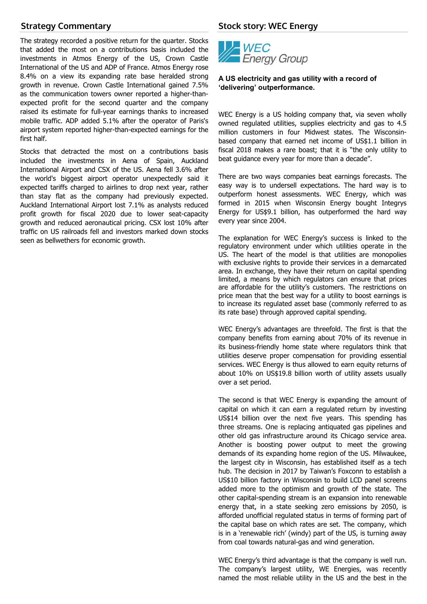# **Strategy Commentary**

The strategy recorded a positive return for the quarter. Stocks that added the most on a contributions basis included the investments in Atmos Energy of the US, Crown Castle International of the US and ADP of France. Atmos Energy rose 8.4% on a view its expanding rate base heralded strong growth in revenue. Crown Castle International gained 7.5% as the communication towers owner reported a higher-thanexpected profit for the second quarter and the company raised its estimate for full-year earnings thanks to increased mobile traffic. ADP added 5.1% after the operator of Paris's airport system reported higher-than-expected earnings for the first half.

Stocks that detracted the most on a contributions basis included the investments in Aena of Spain, Auckland International Airport and CSX of the US. Aena fell 3.6% after the world's biggest airport operator unexpectedly said it expected tariffs charged to airlines to drop next year, rather than stay flat as the company had previously expected. Auckland International Airport lost 7.1% as analysts reduced profit growth for fiscal 2020 due to lower seat-capacity growth and reduced aeronautical pricing. CSX lost 10% after traffic on US railroads fell and investors marked down stocks seen as bellwethers for economic growth.

# **Stock story: WEC Energy**



# **A US electricity and gas utility with a record of 'delivering' outperformance.**

WEC Energy is a US holding company that, via seven wholly owned regulated utilities, supplies electricity and gas to 4.5 million customers in four Midwest states. The Wisconsinbased company that earned net income of US\$1.1 billion in fiscal 2018 makes a rare boast; that it is "the only utility to beat guidance every year for more than a decade".

There are two ways companies beat earnings forecasts. The easy way is to undersell expectations. The hard way is to outperform honest assessments. WEC Energy, which was formed in 2015 when Wisconsin Energy bought Integrys Energy for US\$9.1 billion, has outperformed the hard way every year since 2004.

The explanation for WEC Energy's success is linked to the regulatory environment under which utilities operate in the US. The heart of the model is that utilities are monopolies with exclusive rights to provide their services in a demarcated area. In exchange, they have their return on capital spending limited, a means by which regulators can ensure that prices are affordable for the utility's customers. The restrictions on price mean that the best way for a utility to boost earnings is to increase its regulated asset base (commonly referred to as its rate base) through approved capital spending.

WEC Energy's advantages are threefold. The first is that the company benefits from earning about 70% of its revenue in its business-friendly home state where regulators think that utilities deserve proper compensation for providing essential services. WEC Energy is thus allowed to earn equity returns of about 10% on US\$19.8 billion worth of utility assets usually over a set period.

The second is that WEC Energy is expanding the amount of capital on which it can earn a regulated return by investing US\$14 billion over the next five years. This spending has three streams. One is replacing antiquated gas pipelines and other old gas infrastructure around its Chicago service area. Another is boosting power output to meet the growing demands of its expanding home region of the US. Milwaukee, the largest city in Wisconsin, has established itself as a tech hub. The decision in 2017 by Taiwan's Foxconn to establish a US\$10 billion factory in Wisconsin to build LCD panel screens added more to the optimism and growth of the state. The other capital-spending stream is an expansion into renewable energy that, in a state seeking zero emissions by 2050, is afforded unofficial regulated status in terms of forming part of the capital base on which rates are set. The company, which is in a 'renewable rich' (windy) part of the US, is turning away from coal towards natural-gas and wind generation.

WEC Energy's third advantage is that the company is well run. The company's largest utility, WE Energies, was recently named the most reliable utility in the US and the best in the